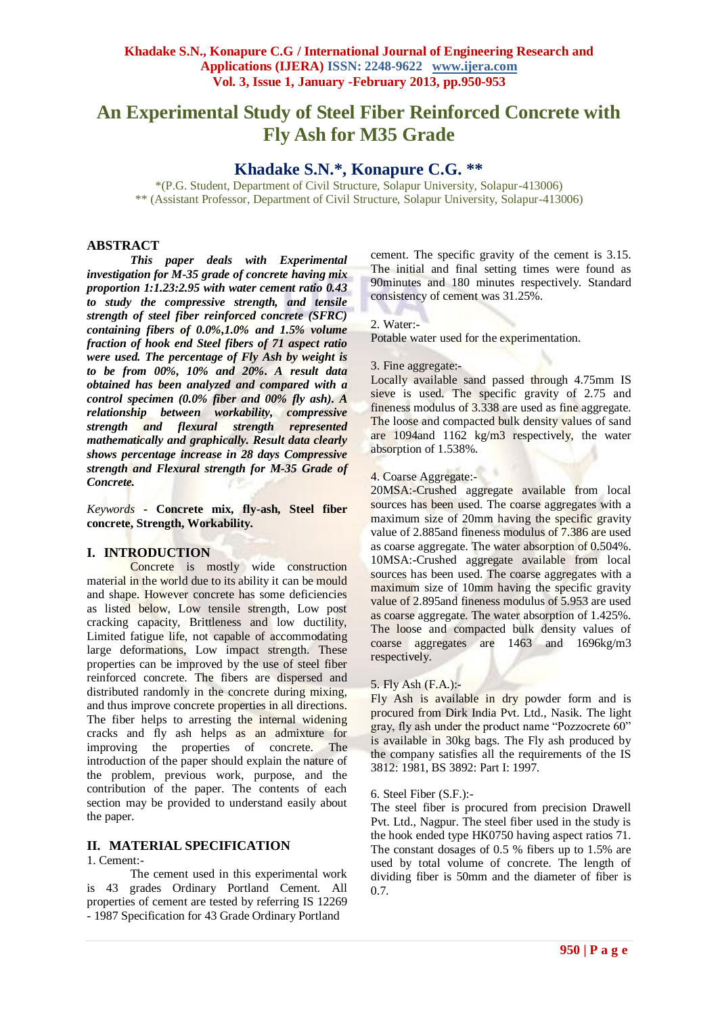# **An Experimental Study of Steel Fiber Reinforced Concrete with Fly Ash for M35 Grade**

# **Khadake S.N.\*, Konapure C.G. \*\***

\*(P.G. Student, Department of Civil Structure, Solapur University, Solapur-413006) \*\* (Assistant Professor, Department of Civil Structure, Solapur University, Solapur-413006)

#### **ABSTRACT**

*This paper deals with Experimental investigation for M-35 grade of concrete having mix proportion 1:1.23:2.95 with water cement ratio 0.43 to study the compressive strength, and tensile strength of steel fiber reinforced concrete (SFRC) containing fibers of 0.0%,1.0% and 1.5% volume fraction of hook end Steel fibers of 71 aspect ratio were used. The percentage of Fly Ash by weight is to be from 00%, 10% and 20%. A result data obtained has been analyzed and compared with a control specimen (0.0% fiber and 00% fly ash). A relationship between workability, compressive strength and flexural strength represented mathematically and graphically. Result data clearly shows percentage increase in 28 days Compressive strength and Flexural strength for M-35 Grade of Concrete.*

*Keywords* **- Concrete mix, fly-ash, Steel fiber concrete, Strength, Workability.**

### **I. INTRODUCTION**

Concrete is mostly wide construction material in the world due to its ability it can be mould and shape. However concrete has some deficiencies as listed below, Low tensile strength, Low post cracking capacity, Brittleness and low ductility, Limited fatigue life, not capable of accommodating large deformations, Low impact strength. These properties can be improved by the use of steel fiber reinforced concrete. The fibers are dispersed and distributed randomly in the concrete during mixing, and thus improve concrete properties in all directions. The fiber helps to arresting the internal widening cracks and fly ash helps as an admixture for improving the properties of concrete. The introduction of the paper should explain the nature of the problem, previous work, purpose, and the contribution of the paper. The contents of each section may be provided to understand easily about the paper.

### **II. MATERIAL SPECIFICATION**

1. Cement:-

The cement used in this experimental work is 43 grades Ordinary Portland Cement. All properties of cement are tested by referring IS 12269 - 1987 Specification for 43 Grade Ordinary Portland

cement. The specific gravity of the cement is 3.15. The initial and final setting times were found as 90minutes and 180 minutes respectively. Standard consistency of cement was 31.25%.

#### 2. Water:-

Potable water used for the experimentation.

#### 3. Fine aggregate:-

Locally available sand passed through 4.75mm IS sieve is used. The specific gravity of 2.75 and fineness modulus of 3.338 are used as fine aggregate. The loose and compacted bulk density values of sand are 1094and 1162 kg/m3 respectively, the water absorption of 1.538%.

# 4. Coarse Aggregate:-

20MSA:-Crushed aggregate available from local sources has been used. The coarse aggregates with a maximum size of 20mm having the specific gravity value of 2.885and fineness modulus of 7.386 are used as coarse aggregate. The water absorption of 0.504%. 10MSA:-Crushed aggregate available from local sources has been used. The coarse aggregates with a maximum size of 10mm having the specific gravity value of 2.895and fineness modulus of 5.953 are used as coarse aggregate. The water absorption of 1.425%. The loose and compacted bulk density values of coarse aggregates are 1463 and 1696kg/m3 respectively.

#### 5. Fly Ash (F.A.):-

Fly Ash is available in dry powder form and is procured from Dirk India Pvt. Ltd., Nasik. The light gray, fly ash under the product name "Pozzocrete 60" is available in 30kg bags. The Fly ash produced by the company satisfies all the requirements of the IS 3812: 1981, BS 3892: Part I: 1997.

#### 6. Steel Fiber (S.F.):-

The steel fiber is procured from precision Drawell Pvt. Ltd., Nagpur. The steel fiber used in the study is the hook ended type HK0750 having aspect ratios 71. The constant dosages of 0.5 % fibers up to 1.5% are used by total volume of concrete. The length of dividing fiber is 50mm and the diameter of fiber is 0.7.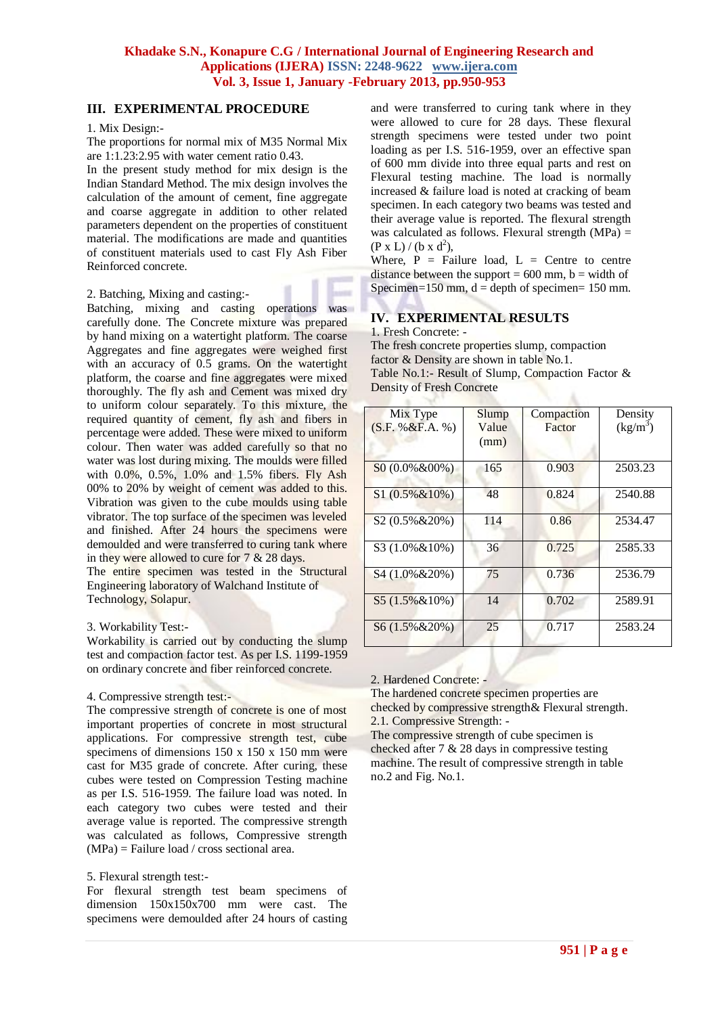# **III. EXPERIMENTAL PROCEDURE**

#### 1. Mix Design:-

The proportions for normal mix of M35 Normal Mix are 1:1.23:2.95 with water cement ratio 0.43.

In the present study method for mix design is the Indian Standard Method. The mix design involves the calculation of the amount of cement, fine aggregate and coarse aggregate in addition to other related parameters dependent on the properties of constituent material. The modifications are made and quantities of constituent materials used to cast Fly Ash Fiber Reinforced concrete.

#### 2. Batching, Mixing and casting:-

Batching, mixing and casting operations was carefully done. The Concrete mixture was prepared by hand mixing on a watertight platform. The coarse Aggregates and fine aggregates were weighed first with an accuracy of 0.5 grams. On the watertight platform, the coarse and fine aggregates were mixed thoroughly. The fly ash and Cement was mixed dry to uniform colour separately. To this mixture, the required quantity of cement, fly ash and fibers in percentage were added. These were mixed to uniform colour. Then water was added carefully so that no water was lost during mixing. The moulds were filled with 0.0%, 0.5%, 1.0% and 1.5% fibers. Fly Ash 00% to 20% by weight of cement was added to this. Vibration was given to the cube moulds using table vibrator. The top surface of the specimen was leveled and finished. After 24 hours the specimens were demoulded and were transferred to curing tank where in they were allowed to cure for 7 & 28 days.

The entire specimen was tested in the Structural Engineering laboratory of Walchand Institute of Technology, Solapur.

#### 3. Workability Test:-

Workability is carried out by conducting the slump test and compaction factor test. As per I.S. 1199-1959 on ordinary concrete and fiber reinforced concrete.

#### 4. Compressive strength test:-

The compressive strength of concrete is one of most important properties of concrete in most structural applications. For compressive strength test, cube specimens of dimensions 150 x 150 x 150 mm were cast for M35 grade of concrete. After curing, these cubes were tested on Compression Testing machine as per I.S. 516-1959. The failure load was noted. In each category two cubes were tested and their average value is reported. The compressive strength was calculated as follows, Compressive strength  $(MPa)$  = Failure load / cross sectional area.

#### 5. Flexural strength test:-

For flexural strength test beam specimens of dimension 150x150x700 mm were cast. The specimens were demoulded after 24 hours of casting and were transferred to curing tank where in they were allowed to cure for 28 days. These flexural strength specimens were tested under two point loading as per I.S. 516-1959, over an effective span of 600 mm divide into three equal parts and rest on Flexural testing machine. The load is normally increased & failure load is noted at cracking of beam specimen. In each category two beams was tested and their average value is reported. The flexural strength was calculated as follows. Flexural strength  $(MPa)$  =  $(P \times L) / (b \times d^2),$ 

Where,  $P =$  Failure load,  $L =$  Centre to centre distance between the support  $= 600$  mm, b  $=$  width of Specimen= $150$  mm,  $d =$  depth of specimen=  $150$  mm.

# **IV. EXPERIMENTAL RESULTS**

1. Fresh Concrete: -

The fresh concrete properties slump, compaction factor & Density are shown in table No.1. Table No.1:- Result of Slump, Compaction Factor & Density of Fresh Concrete

| Mix Type<br>(S.F. % & F.A. %) | Slump<br>Value<br>(mm) | Compaction<br>Factor | Density<br>$(kg/m^3)$ |
|-------------------------------|------------------------|----------------------|-----------------------|
| S0 (0.0%&00%)                 | 165                    | 0.903                | 2503.23               |
| $$1(0.5\% \& 10\%)$           | 48                     | 0.824                | 2540.88               |
| $S2(0.5\% \& 20\%)$           | 114                    | 0.86                 | 2534.47               |
| S3 (1.0% & 10%)               | 36                     | 0.725                | 2585.33               |
| S4 (1.0% & 20%)               | 75                     | 0.736                | 2536.79               |
| $S5(1.5\% \& 10\%)$           | 14                     | 0.702                | 2589.91               |
| S6 (1.5% & 20%)               | 25                     | 0.717                | 2583.24               |

### 2. Hardened Concrete: -

The hardened concrete specimen properties are checked by compressive strength& Flexural strength. 2.1. Compressive Strength: -

The compressive strength of cube specimen is checked after 7 & 28 days in compressive testing machine. The result of compressive strength in table no.2 and Fig. No.1.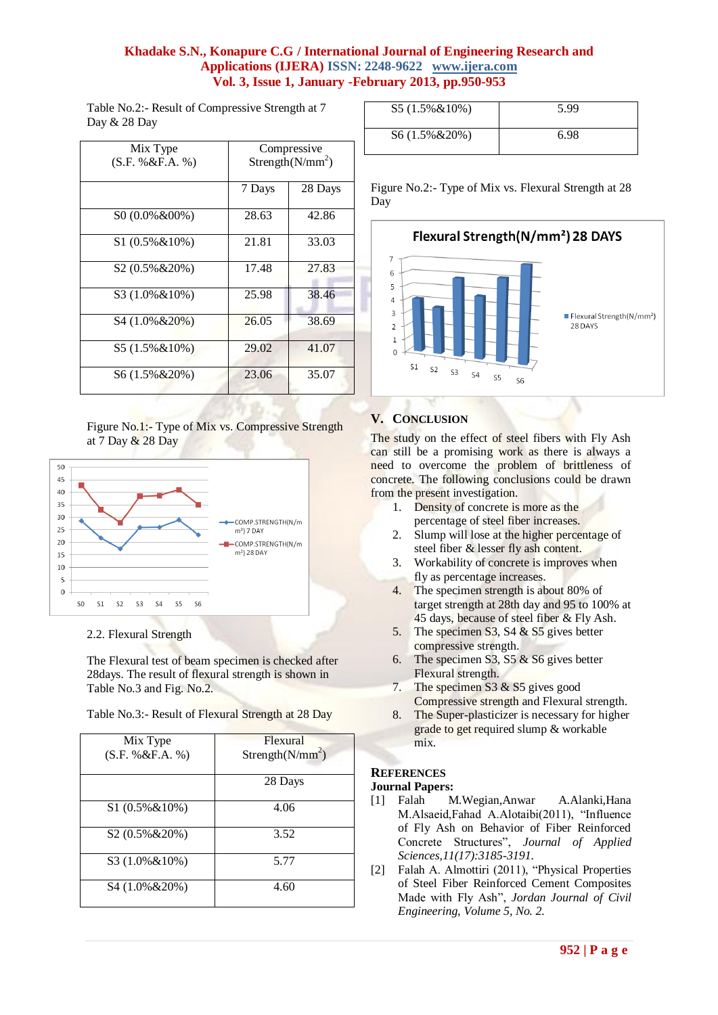# **Khadake S.N., Konapure C.G / International Journal of Engineering Research and Applications (IJERA) ISSN: 2248-9622 www.ijera.com Vol. 3, Issue 1, January -February 2013, pp.950-953**

Table No.2:- Result of Compressive Strength at 7 Day & 28 Day

| Mix Type<br>(S.F. % & F.A. %) | Compressive<br>Strength( $N/mm^2$ ) |         |
|-------------------------------|-------------------------------------|---------|
|                               | 7 Days                              | 28 Days |
| S0 (0.0%&00%)                 | 28.63                               | 42.86   |
| $$1(0.5\% \& 10\%)$           | 21.81                               | 33.03   |
| S2 (0.5%&20%)                 | 17.48                               | 27.83   |
| S3 (1.0% & 10%)               | 25.98                               | 38.46   |
| S4 (1.0% & 20%)               | 26.05                               | 38.69   |
| S5 (1.5%&10%)                 | 29.02                               | 41.07   |
| S6 (1.5%&20%)                 | 23.06                               | 35.07   |

#### Figure No.1:- Type of Mix vs. Compressive Strength at 7 Day & 28 Day



2.2. Flexural Strength

The Flexural test of beam specimen is checked after 28days. The result of flexural strength is shown in Table No.3 and Fig. No.2.

| Table No.3:- Result of Flexural Strength at 28 Day |  |  |
|----------------------------------------------------|--|--|
|                                                    |  |  |

| Mix Type            | Flexural                     |
|---------------------|------------------------------|
| (S.F. % & F.A. % )  | Strength(N/mm <sup>2</sup> ) |
|                     | 28 Days                      |
| $$1(0.5\% \& 10\%)$ | 4.06                         |
| $S2(0.5\% \& 20\%)$ | 3.52                         |
| S3 (1.0%&10%)       | 5.77                         |
| S4 (1.0% & 20%)     | 4.60                         |

| $S5(1.5\% \& 10\%)$ | 5.99 |
|---------------------|------|
| $S6(1.5\% \& 20\%)$ | 6.98 |

Figure No.2:- Type of Mix vs. Flexural Strength at 28 Day



# **V. CONCLUSION**

The study on the effect of steel fibers with Fly Ash can still be a promising work as there is always a need to overcome the problem of brittleness of concrete. The following conclusions could be drawn from the present investigation.

- 1. Density of concrete is more as the percentage of steel fiber increases.
- 2. Slump will lose at the higher percentage of steel fiber & lesser fly ash content.
- 3. Workability of concrete is improves when fly as percentage increases.
- 4. The specimen strength is about 80% of target strength at 28th day and 95 to 100% at 45 days, because of steel fiber & Fly Ash.
- 5. The specimen S3, S4 & S5 gives better compressive strength.
- 6. The specimen S3, S5 & S6 gives better Flexural strength.
- 7. The specimen S3 & S5 gives good Compressive strength and Flexural strength.
- 8. The Super-plasticizer is necessary for higher grade to get required slump & workable mix.

# **REFERENCES**

#### **Journal Papers:**

- [1] Falah M.Wegian,Anwar A.Alanki,Hana M.Alsaeid,Fahad A.Alotaibi(2011), "Influence of Fly Ash on Behavior of Fiber Reinforced Concrete Structures", *Journal of Applied Sciences,11(17):3185-3191.*
- [2] Falah A. Almottiri (2011), "Physical Properties of Steel Fiber Reinforced Cement Composites Made with Fly Ash", *Jordan Journal of Civil Engineering, Volume 5, No. 2.*